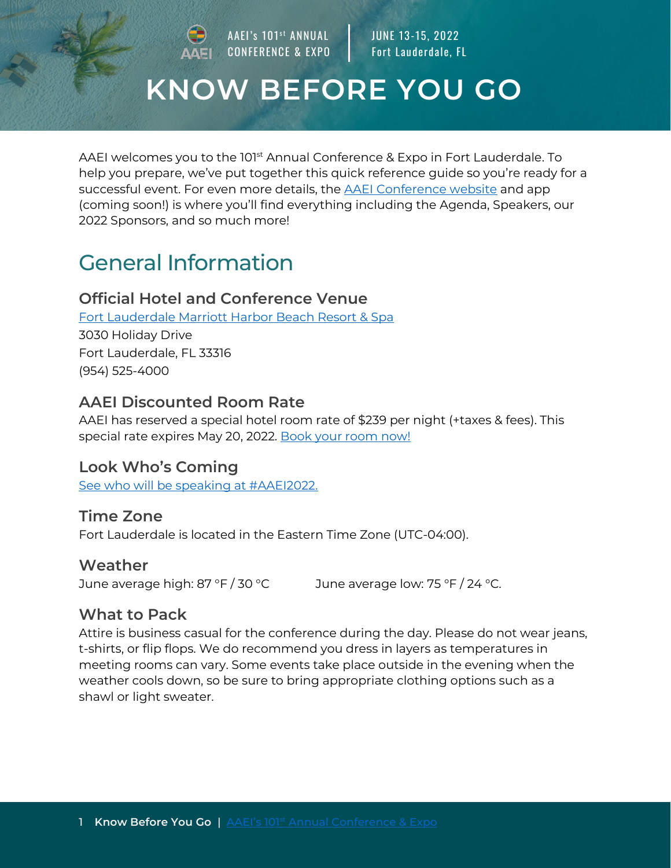AAEI's 101<sup>st</sup> ANNUAL CONFERENCE & EXPO

JUNE 13-15, 2022 Fort Lauderdale, FL

# **KNOW BEFORE YOU GO**

AAEI welcomes you to the 101<sup>st</sup> Annual Conference & Expo in Fort Lauderdale. To help you prepare, we've put together this quick reference guide so you're ready for a successful event. For even more details, the **AAEI** Conference website and app (coming soon!) is where you'll find everything including the Agenda, Speakers, our 2022 Sponsors, and so much more!

## General Information

#### **Official Hotel and Conference Venue**

[Fort Lauderdale Marriott Harbor Beach Resort & Spa](https://www.marriott.com/en-us/hotels/fllsb-fort-lauderdale-marriott-harbor-beach-resort-and-spa/overview/) 3030 Holiday Drive Fort Lauderdale, FL 33316 (954) 525-4000

#### **AAEI Discounted Room Rate**

AAEI has reserved a special hotel room rate of \$239 per night (+taxes & fees). This special rate expires May 20, 2022. [Book your room now!](https://book.passkey.com/event/50213824/owner/4894/home)

#### **Look Who's Coming**

[See who will be speaking at #AAEI2022.](https://www.conference.aaei.org/speakers)

#### **Time Zone**

Fort Lauderdale is located in the Eastern Time Zone (UTC-04:00).

#### **Weather**

June average high: 87 °F / 30 °C June average low: 75 °F / 24 °C.

#### **What to Pack**

Attire is business casual for the conference during the day. Please do not wear jeans, t-shirts, or flip flops. We do recommend you dress in layers as temperatures in meeting rooms can vary. Some events take place outside in the evening when the weather cools down, so be sure to bring appropriate clothing options such as a shawl or light sweater.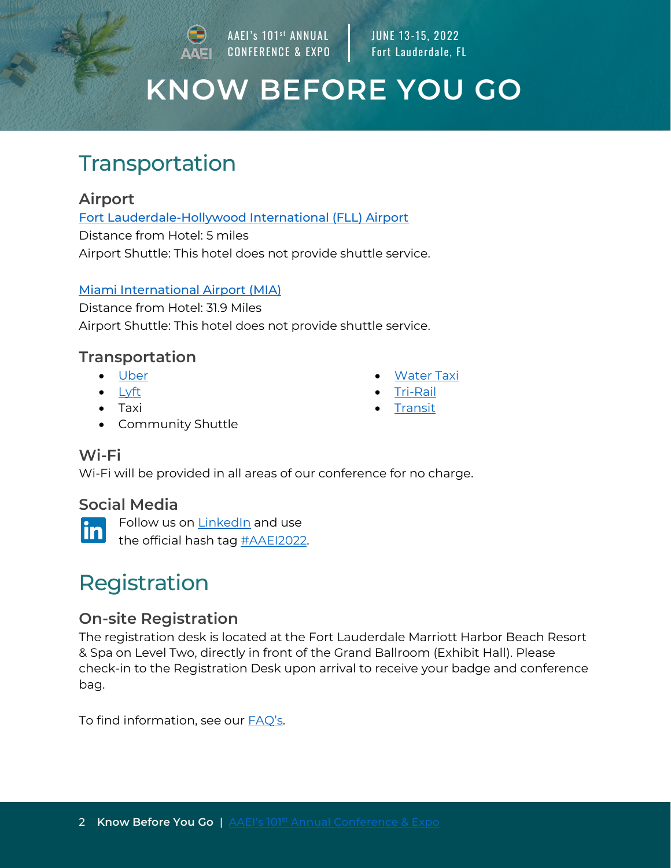AAEI's 101<sup>st</sup> ANNUAL CONFERENCE & EXPO JUNE 13-15, 2022 Fort Lauderdale, FL

# **KNOW BEFORE YOU GO**

### **Transportation**

#### **Airport**

[Fort Lauderdale-Hollywood International \(FLL\) Airport](https://www.broward.org/airport/Pages/default.aspx)

Distance from Hotel: 5 miles Airport Shuttle: This hotel does not provide shuttle service.

#### [Miami International Airport \(MIA\)](https://www.miami-airport.com/)

• Community Shuttle

Distance from Hotel: 31.9 Miles Airport Shuttle: This hotel does not provide shuttle service.

### **Transportation**

- [Uber](https://www.uber.com/)
- [Lyft](https://www.lyft.com/)
- Taxi
- **[Water Taxi](https://watertaxi.com/)**
- [Tri-Rail](https://www.tri-rail.com/)
- **[Transit](http://www.broward.org/BCT/Pages/default.aspx)**

#### **Wi-Fi**

Wi-Fi will be provided in all areas of our conference for no charge.

#### **Social Media**

Follow us on [LinkedIn](https://www.linkedin.com/company/5080330/) and use in

the official hash tag [#AAEI2022.](https://www.linkedin.com/search/results/all/?keywords=%23aaei2022)

# [Re](https://commons.wikimedia.org/wiki/File:LinkedIn_logo_initials.png)gistration

#### **[On](https://commons.wikimedia.org/wiki/File:LinkedIn_logo_initials.png)-site Registration**

T[he](https://commons.wikimedia.org/wiki/File:LinkedIn_logo_initials.png) registration desk is located at the Fort Lauderdale Marriott Harbor Beach Resort & Spa on Level Two, directly in front of the Grand Ballroom (Exhibit Hall). Please check-in to the Registration Desk upon arrival to receive your badge and conference bag.

To find information, see our [FAQ's](https://www.conference.aaei.org/faq).